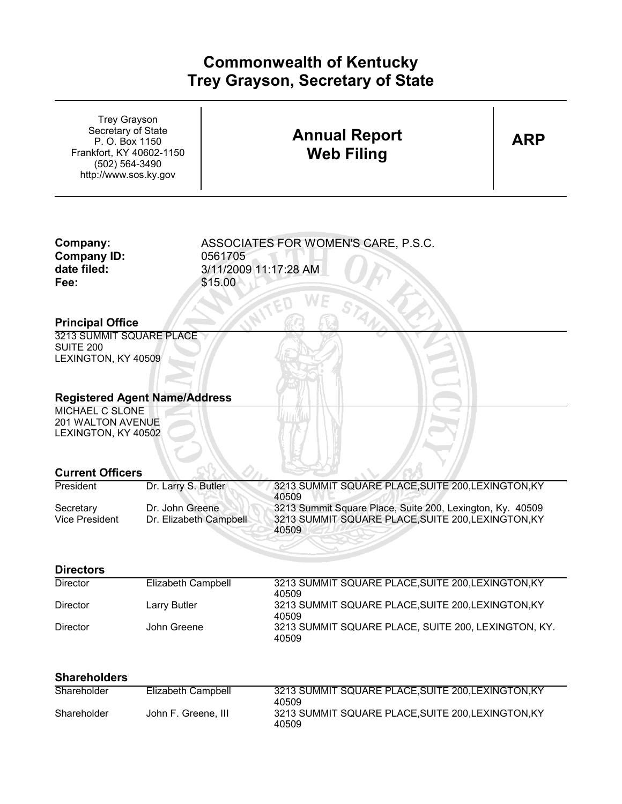## **Commonwealth of Kentucky** 3/11/2009 **Trey Grayson, Secretary of State**

| <b>Trey Grayson</b><br>Secretary of State<br>P. O. Box 1150<br>Frankfort, KY 40602-1150<br>(502) 564-3490<br>http://www.sos.ky.gov |                                           | <b>Annual Report</b><br><b>Web Filing</b>                                                                                         | ARP |
|------------------------------------------------------------------------------------------------------------------------------------|-------------------------------------------|-----------------------------------------------------------------------------------------------------------------------------------|-----|
| Company:<br><b>Company ID:</b><br>date filed:<br>Fee:                                                                              | 0561705<br>\$15.00                        | ASSOCIATES FOR WOMEN'S CARE, P.S.C.<br>3/11/2009 11:17:28 AM                                                                      |     |
| <b>Principal Office</b>                                                                                                            |                                           |                                                                                                                                   |     |
| 3213 SUMMIT SQUARE PLACE<br><b>SUITE 200</b><br>LEXINGTON, KY 40509                                                                | <b>Registered Agent Name/Address</b>      |                                                                                                                                   |     |
| <b>MICHAEL C SLONE</b><br>201 WALTON AVENUE<br>LEXINGTON, KY 40502                                                                 |                                           |                                                                                                                                   |     |
| <b>Current Officers</b><br>President                                                                                               | Dr. Larry S. Butler                       | 3213 SUMMIT SQUARE PLACE, SUITE 200, LEXINGTON, KY                                                                                |     |
| Secretary<br><b>Vice President</b>                                                                                                 | Dr. John Greene<br>Dr. Elizabeth Campbell | 40509<br>3213 Summit Square Place, Suite 200, Lexington, Ky. 40509<br>3213 SUMMIT SQUARE PLACE, SUITE 200, LEXINGTON, KY<br>40509 |     |
| <b>Directors</b>                                                                                                                   |                                           |                                                                                                                                   |     |
| <b>Director</b>                                                                                                                    | <b>Elizabeth Campbell</b>                 | 3213 SUMMIT SQUARE PLACE, SUITE 200, LEXINGTON, KY<br>40509                                                                       |     |
| <b>Director</b>                                                                                                                    | Larry Butler                              | 3213 SUMMIT SQUARE PLACE, SUITE 200, LEXINGTON, KY                                                                                |     |
| <b>Director</b>                                                                                                                    | John Greene                               | 40509<br>3213 SUMMIT SQUARE PLACE, SUITE 200, LEXINGTON, KY.<br>40509                                                             |     |
| <b>Shareholders</b>                                                                                                                |                                           |                                                                                                                                   |     |
| Shareholder                                                                                                                        | Elizabeth Campbell                        | 3213 SUMMIT SQUARE PLACE, SUITE 200, LEXINGTON, KY<br>40509                                                                       |     |
| Shareholder                                                                                                                        | John F. Greene, III                       | 3213 SUMMIT SQUARE PLACE, SUITE 200, LEXINGTON, KY<br>40509                                                                       |     |